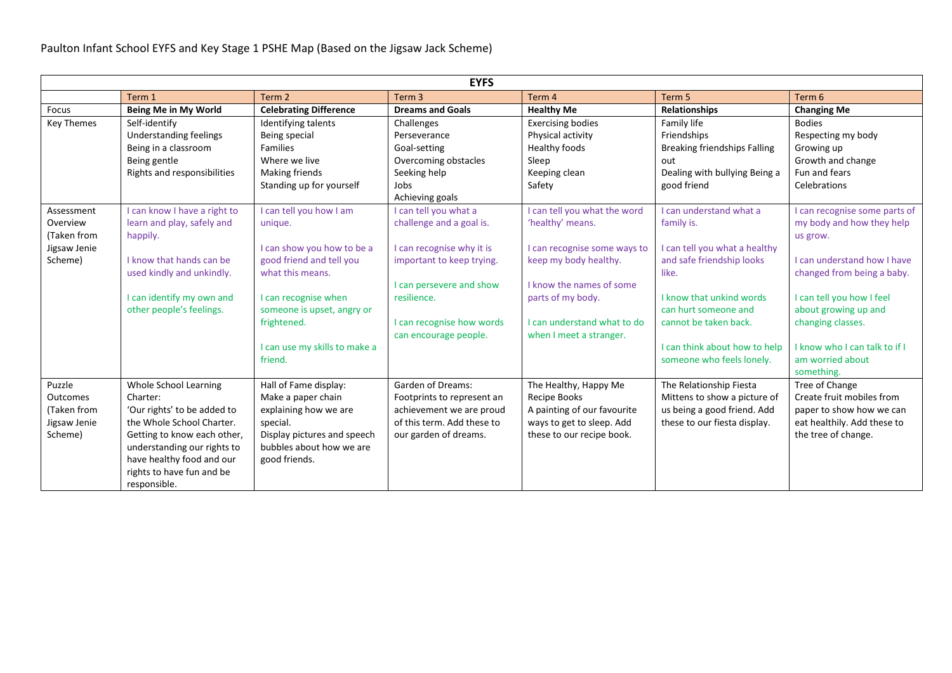| <b>EYFS</b>       |                              |                               |                            |                              |                                     |                               |  |  |
|-------------------|------------------------------|-------------------------------|----------------------------|------------------------------|-------------------------------------|-------------------------------|--|--|
|                   | Term 1                       | Term 2                        | Term <sub>3</sub>          | Term 4                       | Term 5                              | Term 6                        |  |  |
| Focus             | Being Me in My World         | <b>Celebrating Difference</b> | <b>Dreams and Goals</b>    | <b>Healthy Me</b>            | <b>Relationships</b>                | <b>Changing Me</b>            |  |  |
| <b>Key Themes</b> | Self-identify                | Identifying talents           | Challenges                 | <b>Exercising bodies</b>     | Family life                         | <b>Bodies</b>                 |  |  |
|                   | Understanding feelings       | Being special                 | Perseverance               | Physical activity            | Friendships                         | Respecting my body            |  |  |
|                   | Being in a classroom         | <b>Families</b>               | Goal-setting               | Healthy foods                | <b>Breaking friendships Falling</b> | Growing up                    |  |  |
|                   | Being gentle                 | Where we live                 | Overcoming obstacles       | Sleep                        | out                                 | Growth and change             |  |  |
|                   | Rights and responsibilities  | Making friends                | Seeking help               | Keeping clean                | Dealing with bullying Being a       | Fun and fears                 |  |  |
|                   |                              | Standing up for yourself      | Jobs                       | Safety                       | good friend                         | Celebrations                  |  |  |
|                   |                              |                               | Achieving goals            |                              |                                     |                               |  |  |
| Assessment        | I can know I have a right to | I can tell you how I am       | I can tell you what a      | I can tell you what the word | I can understand what a             | I can recognise some parts of |  |  |
| Overview          | learn and play, safely and   | unique.                       | challenge and a goal is.   | 'healthy' means.             | family is.                          | my body and how they help     |  |  |
| (Taken from       | happily.                     |                               |                            |                              |                                     | us grow.                      |  |  |
| Jigsaw Jenie      |                              | I can show you how to be a    | I can recognise why it is  | I can recognise some ways to | I can tell you what a healthy       |                               |  |  |
| Scheme)           | I know that hands can be     | good friend and tell you      | important to keep trying.  | keep my body healthy.        | and safe friendship looks           | I can understand how I have   |  |  |
|                   | used kindly and unkindly.    | what this means.              |                            |                              | like.                               | changed from being a baby.    |  |  |
|                   |                              |                               | I can persevere and show   | I know the names of some     |                                     |                               |  |  |
|                   | I can identify my own and    | I can recognise when          | resilience.                | parts of my body.            | I know that unkind words            | I can tell you how I feel     |  |  |
|                   | other people's feelings.     | someone is upset, angry or    |                            |                              | can hurt someone and                | about growing up and          |  |  |
|                   |                              | frightened.                   | I can recognise how words  | I can understand what to do  | cannot be taken back.               | changing classes.             |  |  |
|                   |                              | I can use my skills to make a | can encourage people.      | when I meet a stranger.      | I can think about how to help       | I know who I can talk to if I |  |  |
|                   |                              | friend.                       |                            |                              | someone who feels lonely.           | am worried about              |  |  |
|                   |                              |                               |                            |                              |                                     | something.                    |  |  |
| Puzzle            | Whole School Learning        | Hall of Fame display:         | <b>Garden of Dreams:</b>   | The Healthy, Happy Me        | The Relationship Fiesta             | Tree of Change                |  |  |
| Outcomes          | Charter:                     | Make a paper chain            | Footprints to represent an | Recipe Books                 | Mittens to show a picture of        | Create fruit mobiles from     |  |  |
| (Taken from       | 'Our rights' to be added to  | explaining how we are         | achievement we are proud   | A painting of our favourite  | us being a good friend. Add         | paper to show how we can      |  |  |
| Jigsaw Jenie      | the Whole School Charter.    | special.                      | of this term. Add these to | ways to get to sleep. Add    | these to our fiesta display.        | eat healthily. Add these to   |  |  |
| Scheme)           | Getting to know each other,  | Display pictures and speech   | our garden of dreams.      | these to our recipe book.    |                                     | the tree of change.           |  |  |
|                   | understanding our rights to  | bubbles about how we are      |                            |                              |                                     |                               |  |  |
|                   | have healthy food and our    | good friends.                 |                            |                              |                                     |                               |  |  |
|                   | rights to have fun and be    |                               |                            |                              |                                     |                               |  |  |
|                   | responsible.                 |                               |                            |                              |                                     |                               |  |  |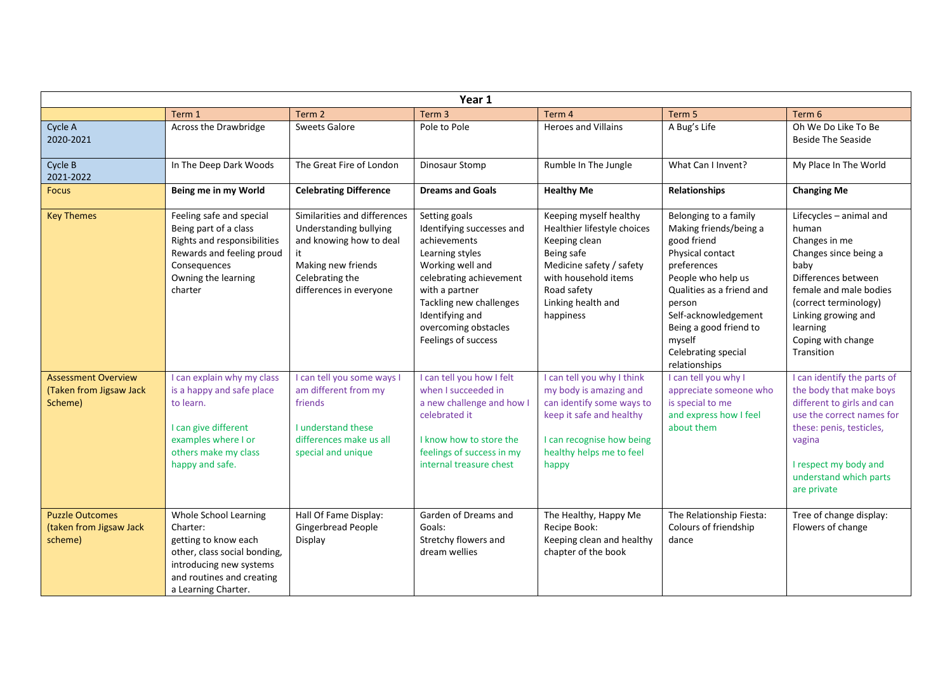| Year 1                                                           |                                                                                                                                                                          |                                                                                                                                                       |                                                                                                                                                                                                                                             |                                                                                                                                                                                            |                                                                                                                                                                                                                                                                    |                                                                                                                                                                                                                                     |  |
|------------------------------------------------------------------|--------------------------------------------------------------------------------------------------------------------------------------------------------------------------|-------------------------------------------------------------------------------------------------------------------------------------------------------|---------------------------------------------------------------------------------------------------------------------------------------------------------------------------------------------------------------------------------------------|--------------------------------------------------------------------------------------------------------------------------------------------------------------------------------------------|--------------------------------------------------------------------------------------------------------------------------------------------------------------------------------------------------------------------------------------------------------------------|-------------------------------------------------------------------------------------------------------------------------------------------------------------------------------------------------------------------------------------|--|
|                                                                  | Term 1                                                                                                                                                                   | Term <sub>2</sub>                                                                                                                                     | Term <sub>3</sub>                                                                                                                                                                                                                           | Term 4                                                                                                                                                                                     | Term 5                                                                                                                                                                                                                                                             | Term 6                                                                                                                                                                                                                              |  |
| Cycle A<br>2020-2021                                             | Across the Drawbridge                                                                                                                                                    | <b>Sweets Galore</b>                                                                                                                                  | Pole to Pole                                                                                                                                                                                                                                | <b>Heroes and Villains</b>                                                                                                                                                                 | A Bug's Life                                                                                                                                                                                                                                                       | Oh We Do Like To Be<br><b>Beside The Seaside</b>                                                                                                                                                                                    |  |
| Cycle B<br>2021-2022                                             | In The Deep Dark Woods                                                                                                                                                   | The Great Fire of London                                                                                                                              | Dinosaur Stomp                                                                                                                                                                                                                              | Rumble In The Jungle                                                                                                                                                                       | What Can I Invent?                                                                                                                                                                                                                                                 | My Place In The World                                                                                                                                                                                                               |  |
| <b>Focus</b>                                                     | Being me in my World                                                                                                                                                     | <b>Celebrating Difference</b>                                                                                                                         | <b>Dreams and Goals</b>                                                                                                                                                                                                                     | <b>Healthy Me</b>                                                                                                                                                                          | Relationships                                                                                                                                                                                                                                                      | <b>Changing Me</b>                                                                                                                                                                                                                  |  |
| <b>Key Themes</b>                                                | Feeling safe and special<br>Being part of a class<br>Rights and responsibilities<br>Rewards and feeling proud<br>Consequences<br>Owning the learning<br>charter          | Similarities and differences<br>Understanding bullying<br>and knowing how to deal<br>Making new friends<br>Celebrating the<br>differences in everyone | Setting goals<br>Identifying successes and<br>achievements<br>Learning styles<br>Working well and<br>celebrating achievement<br>with a partner<br>Tackling new challenges<br>Identifying and<br>overcoming obstacles<br>Feelings of success | Keeping myself healthy<br>Healthier lifestyle choices<br>Keeping clean<br>Being safe<br>Medicine safety / safety<br>with household items<br>Road safety<br>Linking health and<br>happiness | Belonging to a family<br>Making friends/being a<br>good friend<br>Physical contact<br>preferences<br>People who help us<br>Qualities as a friend and<br>person<br>Self-acknowledgement<br>Being a good friend to<br>myself<br>Celebrating special<br>relationships | Lifecycles - animal and<br>human<br>Changes in me<br>Changes since being a<br>baby<br>Differences between<br>female and male bodies<br>(correct terminology)<br>Linking growing and<br>learning<br>Coping with change<br>Transition |  |
| <b>Assessment Overview</b><br>(Taken from Jigsaw Jack<br>Scheme) | I can explain why my class<br>is a happy and safe place<br>to learn.<br>I can give different<br>examples where I or<br>others make my class<br>happy and safe.           | I can tell you some ways I<br>am different from my<br>friends<br><b>Lunderstand these</b><br>differences make us all<br>special and unique            | I can tell you how I felt<br>when I succeeded in<br>a new challenge and how I<br>celebrated it<br>I know how to store the<br>feelings of success in my<br>internal treasure chest                                                           | I can tell you why I think<br>my body is amazing and<br>can identify some ways to<br>keep it safe and healthy<br>I can recognise how being<br>healthy helps me to feel<br>happy            | I can tell you why I<br>appreciate someone who<br>is special to me<br>and express how I feel<br>about them                                                                                                                                                         | I can identify the parts of<br>the body that make boys<br>different to girls and can<br>use the correct names for<br>these: penis, testicles,<br>vagina<br>I respect my body and<br>understand which parts<br>are private           |  |
| <b>Puzzle Outcomes</b><br>(taken from Jigsaw Jack<br>scheme)     | Whole School Learning<br>Charter:<br>getting to know each<br>other, class social bonding,<br>introducing new systems<br>and routines and creating<br>a Learning Charter. | Hall Of Fame Display:<br><b>Gingerbread People</b><br>Display                                                                                         | Garden of Dreams and<br>Goals:<br>Stretchy flowers and<br>dream wellies                                                                                                                                                                     | The Healthy, Happy Me<br>Recipe Book:<br>Keeping clean and healthy<br>chapter of the book                                                                                                  | The Relationship Fiesta:<br>Colours of friendship<br>dance                                                                                                                                                                                                         | Tree of change display:<br>Flowers of change                                                                                                                                                                                        |  |